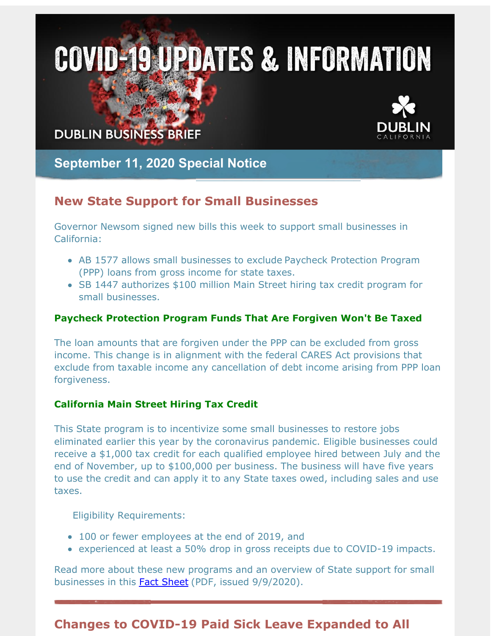# **COVID-19 UPDATES & INFORMATION**

**DUBLIN BUSINESS BRIEF** 



# **September 11, 2020 Special Notice**

# **New State Support for Small Businesses**

Governor Newsom signed new bills this week to support small businesses in California:

- AB 1577 allows small businesses to exclude Paycheck Protection Program (PPP) loans from gross income for state taxes.
- SB 1447 authorizes \$100 million Main Street hiring tax credit program for small businesses.

#### **Paycheck Protection Program Funds That Are Forgiven Won't Be Taxed**

The loan amounts that are forgiven under the PPP can be excluded from gross income. This change is in alignment with the federal CARES Act provisions that exclude from taxable income any cancellation of debt income arising from PPP loan forgiveness.

#### **California Main Street Hiring Tax Credit**

This State program is to incentivize some small businesses to restore jobs eliminated earlier this year by the coronavirus pandemic. Eligible businesses could receive a \$1,000 tax credit for each qualified employee hired between July and the end of November, up to \$100,000 per business. The business will have five years to use the credit and can apply it to any State taxes owed, including sales and use taxes.

Eligibility Requirements:

- 100 or fewer employees at the end of 2019, and
- experienced at least a 50% drop in gross receipts due to COVID-19 impacts.

Read more about these new programs and an overview of State support for small businesses in this **Fact [Sheet](http://r20.rs6.net/tn.jsp?f=001MQT2kIVjMLG5CaNddRIIjUUhzjvlCO4Qgi-adIFrrEL0753Hc4P9hvyEPyTl53YxGmjAEa0wIxtThIW3UUObfpgXGep7Ns9Chhq54PgE3rj5wcb0e6yErgh82DD8UoXStbV243koI_eJuDk2QM82L20-RVWHDNvoRxL2cl7UtuRSWxzGL5KX6YMi60eOjj7uOry2dpvvGdSeSPDfHohjQrWz2uJ5BsvUVeVMHnCzEgBx-QrXi3J0hdympxrVwnep1UdNs3VTQeE=&c=&ch=)** (PDF, issued 9/9/2020).

# **Changes to COVID-19 Paid Sick Leave Expanded to All**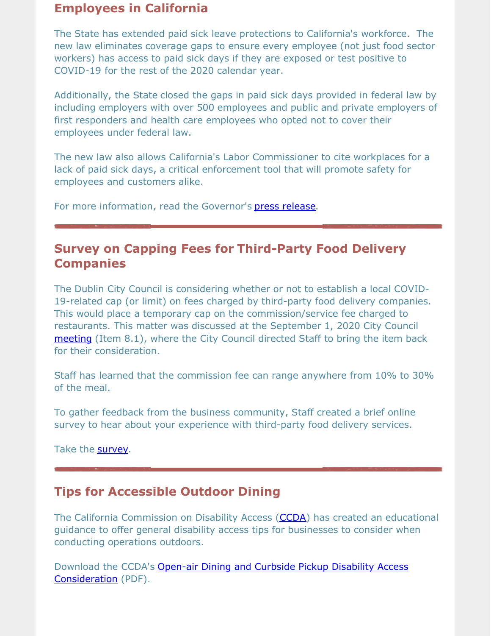## **Employees in California**

The State has extended paid sick leave protections to California's workforce. The new law eliminates coverage gaps to ensure every employee (not just food sector workers) has access to paid sick days if they are exposed or test positive to COVID-19 for the rest of the 2020 calendar year.

Additionally, the State closed the gaps in paid sick days provided in federal law by including employers with over 500 employees and public and private employers of first responders and health care employees who opted not to cover their employees under federal law.

The new law also allows California's Labor Commissioner to cite workplaces for a lack of paid sick days, a critical enforcement tool that will promote safety for employees and customers alike.

For more information, read the Governor's **press [release](http://r20.rs6.net/tn.jsp?f=001MQT2kIVjMLG5CaNddRIIjUUhzjvlCO4Qgi-adIFrrEL0753Hc4P9hvyEPyTl53YxDJ5TwAQ8FCQ016KPoaUlmFyeJS0Fm3B7tszE8AdOqFuGyVUpd-PiVaxSiVS8oWcwWs9Jrz5_XGyYnduwR1AbpABB-Dfd5SrSkLGg1HjnIij2sD-y69aN7LS963tCu35zbb72JfOWiQrucFOzIOElhNpMayLx0x5dsbw_b1oVemjSZNiJ4vReWXiceZrZZXSv2v2yaQnNuv_rKE-RbEhNGX82CP0uyetCix1bYh0RyXJB53kjDp636QwPZBTno9-ooBk8VpqnzuQKMwHam6Uwjg==&c=&ch=)**.

# **Survey on Capping Fees for Third-Party Food Delivery Companies**

The Dublin City Council is considering whether or not to establish a local COVID-19-related cap (or limit) on fees charged by third-party food delivery companies. This would place a temporary cap on the commission/service fee charged to restaurants. This matter was discussed at the September 1, 2020 City Council [meeting](http://r20.rs6.net/tn.jsp?f=001MQT2kIVjMLG5CaNddRIIjUUhzjvlCO4Qgi-adIFrrEL0753Hc4P9hvyEPyTl53Yxxibf-KMpNC_h9npYvodJ9WZXHxRB9JgE_w0hu9B1TKcH3ImkvXc4fHJQs63LP1alMtscdzBrGTCiYP-unQwTXKs2Ds0uzuL-UhUjF2-QryVTQpxxg16vjiubdOiux8XoZ66YGcS3bJUnZOwMVnhfthmoGikmFfnx&c=&ch=) (Item 8.1), where the City Council directed Staff to bring the item back for their consideration.

Staff has learned that the commission fee can range anywhere from 10% to 30% of the meal.

To gather feedback from the business community, Staff created a brief online survey to hear about your experience with third-party food delivery services.

Take the [survey](http://r20.rs6.net/tn.jsp?f=001MQT2kIVjMLG5CaNddRIIjUUhzjvlCO4Qgi-adIFrrEL0753Hc4P9hvyEPyTl53YxJMYyEuA8AlgF9b3ifglAx5BzR1vpvRrfHQiLay4sLa5T18ma7tvmA64EETKtwKLvqa0wwx8vzGyK-X2ygWO6G-PSfWlNzPTDlr8aRmC0M37y43sUeCIYFNyeQHR8gv6qz-3QpwNWwxdTRZRVEE7KDA==&c=&ch=).

## **Tips for Accessible Outdoor Dining**

The California Commission on Disability Access [\(CCDA](http://r20.rs6.net/tn.jsp?f=001MQT2kIVjMLG5CaNddRIIjUUhzjvlCO4Qgi-adIFrrEL0753Hc4P9hvyEPyTl53YxkCN9ks-kvqK8wiS_tb4yDRw14bkzrgrGFLlhpLZXqhcBFGHWhLuyG1FStMuhiFEj0zp82zLzwCmSoi8SF-yxTczfvXkc_dDDt2JlQx-0-Mll7lENrfCr21py7L9IQGVQ&c=&ch=)) has created an educational guidance to offer general disability access tips for businesses to consider when conducting operations outdoors.

Download the CCDA's Open-air Dining and Curbside Pickup Disability Access [Consideration](http://r20.rs6.net/tn.jsp?f=001MQT2kIVjMLG5CaNddRIIjUUhzjvlCO4Qgi-adIFrrEL0753Hc4P9hvyEPyTl53YxlyszUGv3PiNaor0RK0tEeMMivItzz2eFaqDJuOq4YXqTbk7glD0RPtCP8Pzj0yyup3zHkWGG1Ebzynwo-TZpoPZ98TKT-uln_C6mKHFrGLFDBZT_y9H2iIWOAmzxbVTpI8XNk6KLIhRnUqTQGlEIBbpdwKuu1VCMqYA3skGVuyeepXl3bN1ta8zMjGtLw3QcRf8hz_NnjlSoQOFKbqkKoA==&c=&ch=) (PDF).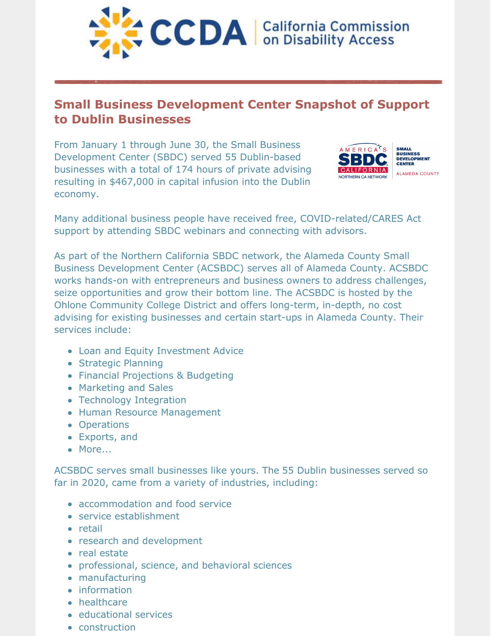

# **Small Business Development Center Snapshot of Support to Dublin Businesses**

From January 1 through June 30, the Small Business Development Center (SBDC) served 55 Dublin-based businesses with a total of 174 hours of private advising resulting in \$467,000 in capital infusion into the Dublin economy.



Many additional business people have received free, COVID-related/CARES Act support by attending SBDC webinars and connecting with advisors.

As part of the Northern California SBDC network, the Alameda County Small Business Development Center (ACSBDC) serves all of Alameda County. ACSBDC works hands-on with entrepreneurs and business owners to address challenges, seize opportunities and grow their bottom line. The ACSBDC is hosted by the Ohlone Community College District and offers long-term, in-depth, no cost advising for existing businesses and certain start-ups in Alameda County. Their services include:

- Loan and Equity Investment Advice
- Strategic Planning
- Financial Projections & Budgeting
- Marketing and Sales
- Technology Integration
- Human Resource Management
- Operations
- Exports, and
- More...

ACSBDC serves small businesses like yours. The 55 Dublin businesses served so far in 2020, came from a variety of industries, including:

- accommodation and food service
- service establishment
- retail
- research and development
- real estate
- professional, science, and behavioral sciences
- manufacturing
- information
- healthcare
- educational services
- construction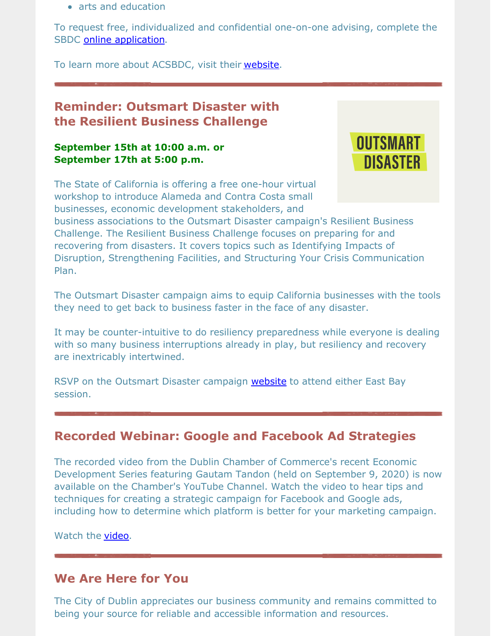• arts and education

To request free, individualized and confidential one-on-one advising, complete the SBDC online [application](http://r20.rs6.net/tn.jsp?f=001MQT2kIVjMLG5CaNddRIIjUUhzjvlCO4Qgi-adIFrrEL0753Hc4P9hpRlzcEgDQPczFgBK8dEGmEnUR_3_W4e6B52B7BqkIVX1c2vn4XYbVPVU6C3kLireORehyW5VO4OJ-illJXuzak3JJdCMpwelDyI88uIpGrsnk-aYq0pvgtd7wQG5r6znZc6hxhFqXLI&c=&ch=).

To learn more about ACSBDC, visit their [website](http://r20.rs6.net/tn.jsp?f=001MQT2kIVjMLG5CaNddRIIjUUhzjvlCO4Qgi-adIFrrEL0753Hc4P9hpIqHkEF_0JSra0Pu207AyPN8sBbTuWKdtCnYXS9VxasyU2ACfVeYGCgY3yCqEZokHP0LsLj5pXlF90lIXTwBQtHXzFtT32m1A0FAKMK5SHsI5smbqzaO7o=&c=&ch=).

# **Reminder: Outsmart Disaster with the Resilient Business Challenge**

#### **September 15th at 10:00 a.m. or September 17th at 5:00 p.m.**



The State of California is offering a free one-hour virtual workshop to introduce Alameda and Contra Costa small businesses, economic development stakeholders, and

business associations to the Outsmart Disaster campaign's Resilient Business Challenge. The Resilient Business Challenge focuses on preparing for and recovering from disasters. It covers topics such as Identifying Impacts of Disruption, Strengthening Facilities, and Structuring Your Crisis Communication Plan.

The Outsmart Disaster campaign aims to equip California businesses with the tools they need to get back to business faster in the face of any disaster.

It may be counter-intuitive to do resiliency preparedness while everyone is dealing with so many business interruptions already in play, but resiliency and recovery are inextricably intertwined.

RSVP on the Outsmart Disaster campaign [website](http://r20.rs6.net/tn.jsp?f=001MQT2kIVjMLG5CaNddRIIjUUhzjvlCO4Qgi-adIFrrEL0753Hc4P9hvyEPyTl53Yx3_N50tjwDi9thcNLSqYpvx68NeWL2NajoeoDJQnyNemQOBz3rVrQCc3J9Aa0na8LR9SmK3cMaY9zXzIghfrAVEA9gJHqJQgkvJm3FsR74b8xZaPJVTwEQn4HR0GrYM9otFl7F5ohIoZ20dq-rWE7QIhBCq9LJhyyE0v1bU_m3Eo=&c=&ch=) to attend either East Bay session.

## **Recorded Webinar: Google and Facebook Ad Strategies**

The recorded video from the Dublin Chamber of Commerce's recent Economic Development Series featuring Gautam Tandon (held on September 9, 2020) is now available on the Chamber's YouTube Channel. Watch the video to hear tips and techniques for creating a strategic campaign for Facebook and Google ads, including how to determine which platform is better for your marketing campaign.

Watch the [video](http://r20.rs6.net/tn.jsp?f=001MQT2kIVjMLG5CaNddRIIjUUhzjvlCO4Qgi-adIFrrEL0753Hc4P9hvyEPyTl53YxwGCa0YX3ixdMEhPF189Fn0msYcu1bf36-e85W5yxAqfSlSss5K528hjxGUbin7LjoSdNQL1vaYOjnhgjUiQeaf36kMsxclPBJPfwexhYOVeN_TZFPZrXlg==&c=&ch=).

## **We Are Here for You**

The City of Dublin appreciates our business community and remains committed to being your source for reliable and accessible information and resources.